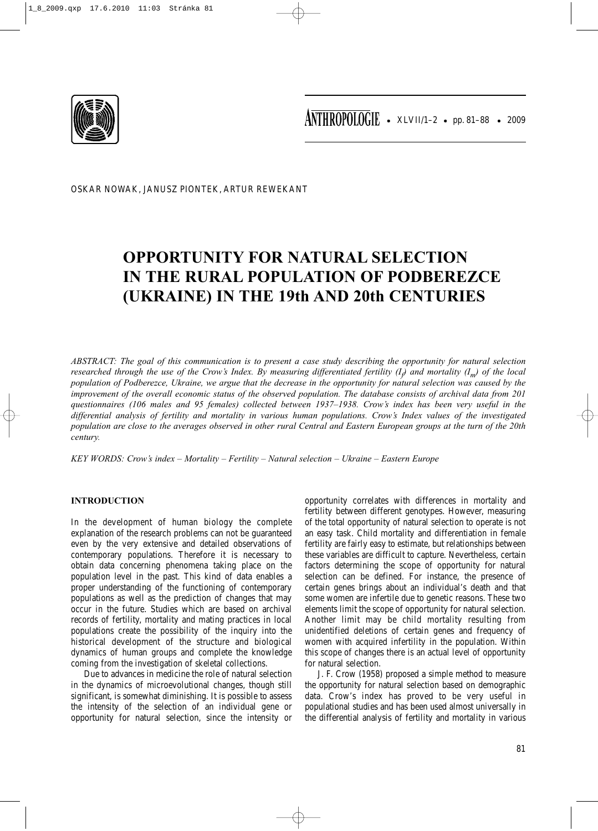

OSKAR NOWAK, JANUSZ PIONTEK, ARTUR REWEKANT

# **OPPORTUNITY FOR NATURAL SELECTION IN THE RURAL POPULATION OF PODBEREZCE (UKRAINE) IN THE 19th AND 20th CENTURIES**

*ABSTRACT: The goal of this communication is to present a case study describing the opportunity for natural selection* researched through the use of the Crow's Index. By measuring differentiated fertility (I<sub>p</sub>) and mortality (I<sub>m</sub>) of the local *population of Podberezce, Ukraine, we argue that the decrease in the opportunity for natural selection was caused by the improvement of the overall economic status of the observed population. The database consists of archival data from 201 questionnaires (106 males and 95 females) collected between 1937–1938. Crow's index has been very useful in the differential analysis of fertility and mortality in various human populations. Crow's Index values of the investigated population are close to the averages observed in other rural Central and Eastern European groups at the turn of the 20th century.* 

*KEY WORDS: Crow's index – Mortality – Fertility – Natural selection – Ukraine – Eastern Europe*

# **INTRODUCTION**

In the development of human biology the complete explanation of the research problems can not be guaranteed even by the very extensive and detailed observations of contemporary populations. Therefore it is necessary to obtain data concerning phenomena taking place on the population level in the past. This kind of data enables a proper understanding of the functioning of contemporary populations as well as the prediction of changes that may occur in the future. Studies which are based on archival records of fertility, mortality and mating practices in local populations create the possibility of the inquiry into the historical development of the structure and biological dynamics of human groups and complete the knowledge coming from the investigation of skeletal collections.

Due to advances in medicine the role of natural selection in the dynamics of microevolutional changes, though still significant, is somewhat diminishing. It is possible to assess the intensity of the selection of an individual gene or opportunity for natural selection, since the intensity or opportunity correlates with differences in mortality and fertility between different genotypes. However, measuring of the total opportunity of natural selection to operate is not an easy task. Child mortality and differentiation in female fertility are fairly easy to estimate, but relationships between these variables are difficult to capture. Nevertheless, certain factors determining the scope of opportunity for natural selection can be defined. For instance, the presence of certain genes brings about an individual's death and that some women are infertile due to genetic reasons. These two elements limit the scope of opportunity for natural selection. Another limit may be child mortality resulting from unidentified deletions of certain genes and frequency of women with acquired infertility in the population. Within this scope of changes there is an actual level of opportunity for natural selection.

J. F. Crow (1958) proposed a simple method to measure the opportunity for natural selection based on demographic data. Crow's index has proved to be very useful in populational studies and has been used almost universally in the differential analysis of fertility and mortality in various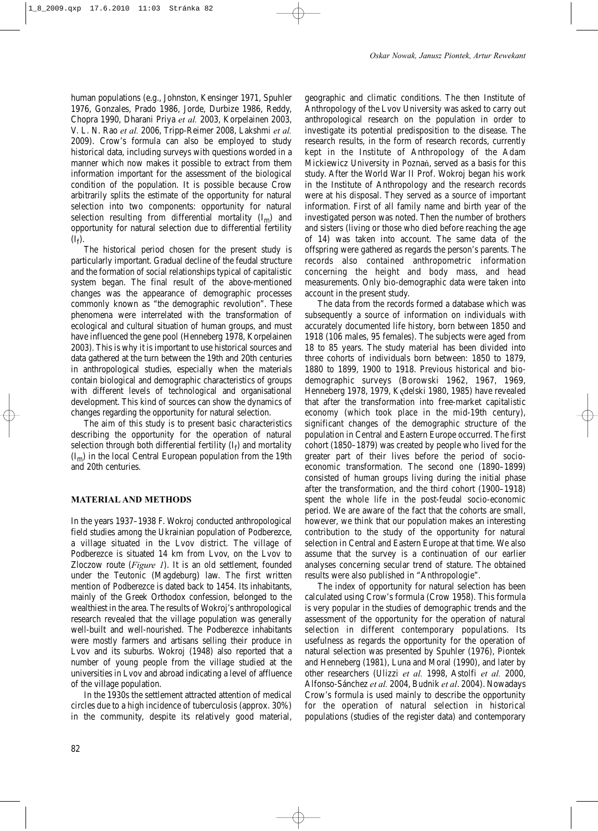human populations (e.g., Johnston, Kensinger 1971, Spuhler 1976, Gonzales, Prado 1986, Jorde, Durbize 1986, Reddy, Chopra 1990, Dharani Priya *et al.* 2003, Korpelainen 2003, V. L. N. Rao *et al.* 2006, Tripp-Reimer 2008, Lakshmi *et al.* 2009). Crow's formula can also be employed to study historical data, including surveys with questions worded in a manner which now makes it possible to extract from them information important for the assessment of the biological condition of the population. It is possible because Crow arbitrarily splits the estimate of the opportunity for natural selection into two components: opportunity for natural selection resulting from differential mortality  $(I_m)$  and opportunity for natural selection due to differential fertility  $(I_f)$ .

The historical period chosen for the present study is particularly important. Gradual decline of the feudal structure and the formation of social relationships typical of capitalistic system began. The final result of the above-mentioned changes was the appearance of demographic processes commonly known as "the demographic revolution". These phenomena were interrelated with the transformation of ecological and cultural situation of human groups, and must have influenced the gene pool (Henneberg 1978, Korpelainen 2003). This is why it is important to use historical sources and data gathered at the turn between the 19th and 20th centuries in anthropological studies, especially when the materials contain biological and demographic characteristics of groups with different levels of technological and organisational development. This kind of sources can show the dynamics of changes regarding the opportunity for natural selection.

The aim of this study is to present basic characteristics describing the opportunity for the operation of natural selection through both differential fertility  $(I_f)$  and mortality  $(I<sub>m</sub>)$  in the local Central European population from the 19th and 20th centuries.

# **MATERIAL AND METHODS**

In the years 1937–1938 F. Wokroj conducted anthropological field studies among the Ukrainian population of Podberezce, a village situated in the Lvov district. The village of Podberezce is situated 14 km from Lvov, on the Lvov to Zloczow route (*Figure 1*). It is an old settlement, founded under the Teutonic (Magdeburg) law. The first written mention of Podberezce is dated back to 1454. Its inhabitants, mainly of the Greek Orthodox confession, belonged to the wealthiest in the area. The results of Wokroj's anthropological research revealed that the village population was generally well-built and well-nourished. The Podberezce inhabitants were mostly farmers and artisans selling their produce in Lvov and its suburbs. Wokroj (1948) also reported that a number of young people from the village studied at the universities in Lvov and abroad indicating a level of affluence of the village population.

In the 1930s the settlement attracted attention of medical circles due to a high incidence of tuberculosis (approx. 30%) in the community, despite its relatively good material,

geographic and climatic conditions. The then Institute of Anthropology of the Lvov University was asked to carry out anthropological research on the population in order to investigate its potential predisposition to the disease. The research results, in the form of research records, currently kept in the Institute of Anthropology of the Adam Mickiewicz University in Poznań, served as a basis for this study. After the World War II Prof. Wokroj began his work in the Institute of Anthropology and the research records were at his disposal. They served as a source of important information. First of all family name and birth year of the investigated person was noted. Then the number of brothers and sisters (living or those who died before reaching the age of 14) was taken into account. The same data of the offspring were gathered as regards the person's parents. The records also contained anthropometric information concerning the height and body mass, and head measurements. Only bio-demographic data were taken into account in the present study.

The data from the records formed a database which was subsequently a source of information on individuals with accurately documented life history, born between 1850 and 1918 (106 males, 95 females). The subjects were aged from 18 to 85 years. The study material has been divided into three cohorts of individuals born between: 1850 to 1879, 1880 to 1899, 1900 to 1918. Previous historical and biodemographic surveys (Borowski 1962, 1967, 1969, Henneberg 1978, 1979, Kędelski 1980, 1985) have revealed that after the transformation into free-market capitalistic economy (which took place in the mid-19th century), significant changes of the demographic structure of the population in Central and Eastern Europe occurred. The first cohort (1850–1879) was created by people who lived for the greater part of their lives before the period of socioeconomic transformation. The second one (1890–1899) consisted of human groups living during the initial phase after the transformation, and the third cohort (1900–1918) spent the whole life in the post-feudal socio-economic period. We are aware of the fact that the cohorts are small, however, we think that our population makes an interesting contribution to the study of the opportunity for natural selection in Central and Eastern Europe at that time. We also assume that the survey is a continuation of our earlier analyses concerning secular trend of stature. The obtained results were also published in "Anthropologie".

The index of opportunity for natural selection has been calculated using Crow's formula (Crow 1958). This formula is very popular in the studies of demographic trends and the assessment of the opportunity for the operation of natural selection in different contemporary populations. Its usefulness as regards the opportunity for the operation of natural selection was presented by Spuhler (1976), Piontek and Henneberg (1981), Luna and Moral (1990), and later by other researchers (Ulizzi *et al.* 1998, Astolfi *et al.* 2000, Alfonso-Sánchez *et al.* 2004, Budnik *et al*. 2004). Nowadays Crow's formula is used mainly to describe the opportunity for the operation of natural selection in historical populations (studies of the register data) and contemporary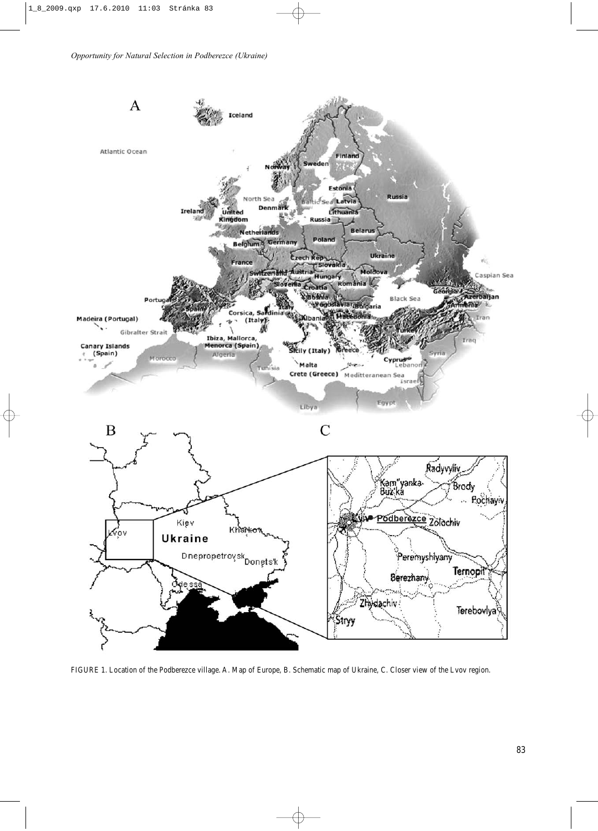

FIGURE 1. Location of the Podberezce village. A. Map of Europe, B. Schematic map of Ukraine, C. Closer view of the Lvov region.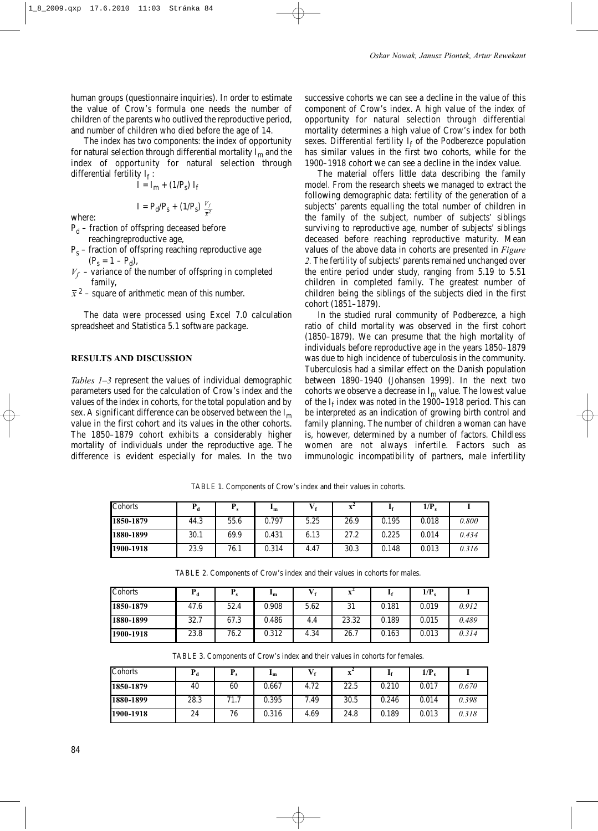human groups (questionnaire inquiries). In order to estimate the value of Crow's formula one needs the number of children of the parents who outlived the reproductive period, and number of children who died before the age of 14.

The index has two components: the index of opportunity for natural selection through differential mortality  $I_m$  and the index of opportunity for natural selection through differential fertility  $I_f$ :

$$
\mathbf{I} = \mathbf{I}_m + (1/P_s) \mathbf{I}_f
$$

where:

$$
I = P_d / P_s + (1 / P_s) \frac{V_f}{\bar{x}^2}
$$

- $P_d$  fraction of offspring deceased before
	- reachingreproductive age,
- $P_s$  fraction of offspring reaching reproductive age  $(P_s = 1 - P_d)$ ,
- $V_f$  variance of the number of offspring in completed family,
- $\bar{x}^2$  square of arithmetic mean of this number.

The data were processed using Excel 7.0 calculation spreadsheet and Statistica 5.1 software package.

# **RESULTS AND DISCUSSION**

*Tables 1–3* represent the values of individual demographic parameters used for the calculation of Crow's index and the values of the index in cohorts, for the total population and by sex. A significant difference can be observed between the  $I_m$ value in the first cohort and its values in the other cohorts. The 1850–1879 cohort exhibits a considerably higher mortality of individuals under the reproductive age. The difference is evident especially for males. In the two

successive cohorts we can see a decline in the value of this component of Crow's index. A high value of the index of opportunity for natural selection through differential mortality determines a high value of Crow's index for both sexes. Differential fertility  $I_f$  of the Podberezce population has similar values in the first two cohorts, while for the 1900–1918 cohort we can see a decline in the index value.

The material offers little data describing the family model. From the research sheets we managed to extract the following demographic data: fertility of the generation of a subjects' parents equalling the total number of children in the family of the subject, number of subjects' siblings surviving to reproductive age, number of subjects' siblings deceased before reaching reproductive maturity. Mean values of the above data in cohorts are presented in *Figure 2.* The fertility of subjects' parents remained unchanged over the entire period under study, ranging from 5.19 to 5.51 children in completed family. The greatest number of children being the siblings of the subjects died in the first cohort (1851–1879).

In the studied rural community of Podberezce, a high ratio of child mortality was observed in the first cohort (1850–1879). We can presume that the high mortality of individuals before reproductive age in the years 1850–1879 was due to high incidence of tuberculosis in the community. Tuberculosis had a similar effect on the Danish population between 1890–1940 (Johansen 1999). In the next two cohorts we observe a decrease in  $I_m$  value. The lowest value of the  $I_f$  index was noted in the 1900–1918 period. This can be interpreted as an indication of growing birth control and family planning. The number of children a woman can have is, however, determined by a number of factors. Childless women are not always infertile. Factors such as immunologic incompatibility of partners, male infertility

| Cohorts   | $P_d$ |      | +ա    |      |      |       | $1/P_s$ |       |
|-----------|-------|------|-------|------|------|-------|---------|-------|
| 1850-1879 | 44.3  | 55.6 | 0.797 | 5.25 | 26.9 | 0.195 | 0.018   | 0.800 |
| 1880-1899 | 30.1  | 69.9 | 0.431 | 6.13 | 27.2 | 0.225 | 0.014   | 0.434 |
| 1900-1918 | 23.9  | 76.1 | 0.314 | 4.47 | 30.3 | 0.148 | 0.013   | 0.316 |

TABLE 1. Components of Crow's index and their values in cohorts.

TABLE 2. Components of Crow's index and their values in cohorts for males.

| Cohorts   | $P_d$ |      | ⊥m    |      |       |       | $1/P_s$ |       |
|-----------|-------|------|-------|------|-------|-------|---------|-------|
| 1850-1879 | 47.6  | 52.4 | 0.908 | 5.62 | 31    | 0.181 | 0.019   | 0.912 |
| 1880-1899 | 32.7  | 67.3 | 0.486 | 4.4  | 23.32 | 0.189 | 0.015   | 0.489 |
| 1900-1918 | 23.8  | 76.2 | 0.312 | 4.34 | 26.7  | 0.163 | 0.013   | 0.314 |

TABLE 3. Components of Crow's index and their values in cohorts for females.

| Cohorts   | $\mathbf{I}$ |      | +ա    |      |      |       | $1/P_s$ |       |
|-----------|--------------|------|-------|------|------|-------|---------|-------|
| 1850-1879 | 40           | 60   | 0.667 | 4.72 | 22.5 | 0.210 | 0.017   | 0.670 |
| 1880-1899 | 28.3         | 71.7 | 0.395 | 7.49 | 30.5 | 0.246 | 0.014   | 0.398 |
| 1900-1918 | 24           | 76   | 0.316 | 4.69 | 24.8 | 0.189 | 0.013   | 0.318 |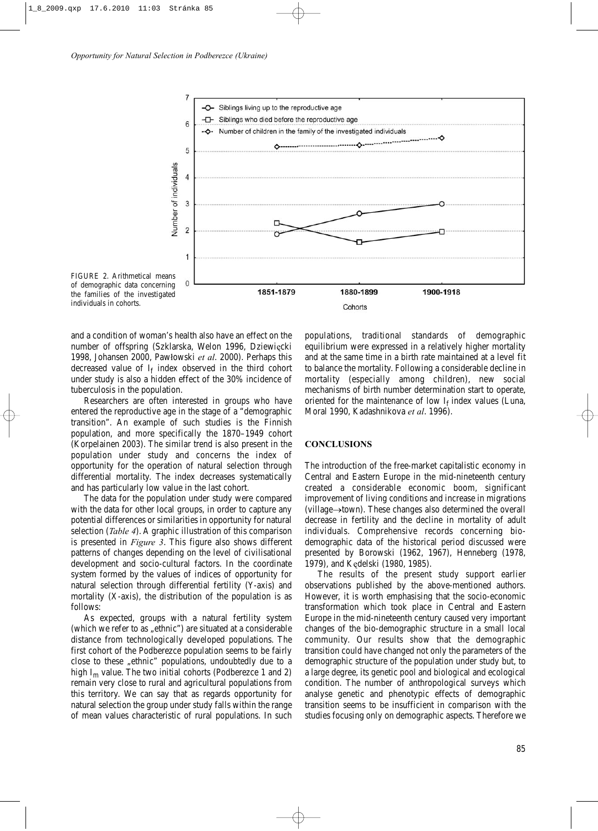

FIGURE 2. Arithmetical means of demographic data concerning the families of the investigated individuals in cohorts.

and a condition of woman's health also have an effect on the number of offspring (Szklarska, Welon 1996, Dziewięcki 1998, Johansen 2000, Pawłowski *et al*. 2000). Perhaps this decreased value of  $I_f$  index observed in the third cohort under study is also a hidden effect of the 30% incidence of tuberculosis in the population.

Researchers are often interested in groups who have entered the reproductive age in the stage of a "demographic transition". An example of such studies is the Finnish population, and more specifically the 1870–1949 cohort (Korpelainen 2003). The similar trend is also present in the population under study and concerns the index of opportunity for the operation of natural selection through differential mortality. The index decreases systematically and has particularly low value in the last cohort.

The data for the population under study were compared with the data for other local groups, in order to capture any potential differences or similarities in opportunity for natural selection (*Table 4*). A graphic illustration of this comparison is presented in *Figure 3*. This figure also shows different patterns of changes depending on the level of civilisational development and socio-cultural factors. In the coordinate system formed by the values of indices of opportunity for natural selection through differential fertility (Y-axis) and mortality (X-axis), the distribution of the population is as follows:

As expected, groups with a natural fertility system (which we refer to as "ethnic") are situated at a considerable distance from technologically developed populations. The first cohort of the Podberezce population seems to be fairly close to these "ethnic" populations, undoubtedly due to a high  $I_m$  value. The two initial cohorts (Podberezce 1 and 2) remain very close to rural and agricultural populations from this territory. We can say that as regards opportunity for natural selection the group under study falls within the range of mean values characteristic of rural populations. In such

populations, traditional standards of demographic equilibrium were expressed in a relatively higher mortality and at the same time in a birth rate maintained at a level fit to balance the mortality. Following a considerable decline in mortality (especially among children), new social mechanisms of birth number determination start to operate, oriented for the maintenance of low  $I_f$  index values (Luna, Moral 1990, Kadashnikova *et al*. 1996).

# **CONCLUSIONS**

The introduction of the free-market capitalistic economy in Central and Eastern Europe in the mid-nineteenth century created a considerable economic boom, significant improvement of living conditions and increase in migrations (village→town). These changes also determined the overall decrease in fertility and the decline in mortality of adult individuals. Comprehensive records concerning biodemographic data of the historical period discussed were presented by Borowski (1962, 1967), Henneberg (1978, 1979), and Kędelski (1980, 1985).

The results of the present study support earlier observations published by the above-mentioned authors. However, it is worth emphasising that the socio-economic transformation which took place in Central and Eastern Europe in the mid-nineteenth century caused very important changes of the bio-demographic structure in a small local community. Our results show that the demographic transition could have changed not only the parameters of the demographic structure of the population under study but, to a large degree, its genetic pool and biological and ecological condition. The number of anthropological surveys which analyse genetic and phenotypic effects of demographic transition seems to be insufficient in comparison with the studies focusing only on demographic aspects. Therefore we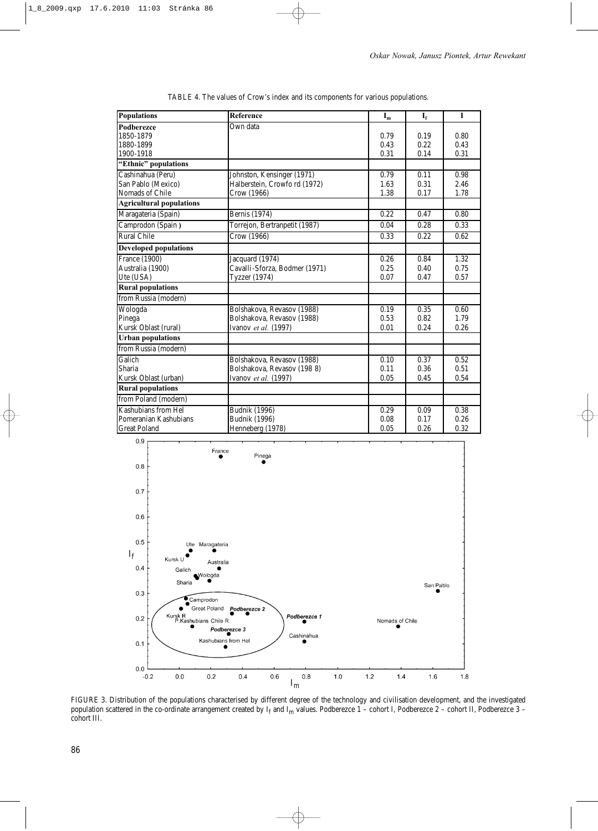| <b>Populations</b>              | Reference                     |      | $I_f$ | $\mathbf{I}$ |  |
|---------------------------------|-------------------------------|------|-------|--------------|--|
| <b>Podberezce</b>               | Own data                      |      |       |              |  |
| 1850-1879                       |                               | 0.79 | 0.19  | 0.80         |  |
| 1880-1899                       |                               | 0.43 | 0.22  | 0.43         |  |
| 1900-1918                       |                               | 0.31 | 0.14  | 0.31         |  |
| "Ethnic" populations            |                               |      |       |              |  |
| Cashinahua (Peru)               | Johnston, Kensinger (1971)    | 0.79 | 0.11  | 0.98         |  |
| San Pablo (Mexico)              | Halberstein, Crowfo rd (1972) | 1.63 | 0.31  | 2.46         |  |
| Nomads of Chile                 | Crow (1966)                   | 1.38 | 0.17  | 1.78         |  |
| <b>Agricultural populations</b> |                               |      |       |              |  |
| Maragateria (Spain)             | Bernis (1974)                 | 0.22 | 0.47  | 0.80         |  |
| Camprodon (Spain)               | Torrejon, Bertranpetit (1987) | 0.04 | 0.28  | 0.33         |  |
| <b>Rural Chile</b>              | Crow (1966)                   | 0.33 | 0.22  | 0.62         |  |
| <b>Developed populations</b>    |                               |      |       |              |  |
| France (1900)                   | Jacquard (1974)               | 0.26 | 0.84  | 1.32         |  |
| Australia (1900)                | Cavalli-Sforza, Bodmer (1971) | 0.25 | 0.40  | 0.75         |  |
| Ute (USA)                       | Tyzzer (1974)                 | 0.07 | 0.47  | 0.57         |  |
| <b>Rural populations</b>        |                               |      |       |              |  |
| from Russia (modern)            |                               |      |       |              |  |
| Wologda                         | Bolshakova, Revasov (1988)    | 0.19 | 0.35  | 0.60         |  |
| Pinega                          | Bolshakova, Revasov (1988)    | 0.53 | 0.82  | 1.79         |  |
| Kursk Oblast (rural)            | Ivanov et al. (1997)          | 0.01 | 0.24  | 0.26         |  |
| <b>Urban populations</b>        |                               |      |       |              |  |
| from Russia (modern)            |                               |      |       |              |  |
| Galich                          | Bolshakova, Revasov (1988)    | 0.10 | 0.37  | 0.52         |  |
| Sharia                          | Bolshakova, Revasov (1988)    | 0.11 | 0.36  | 0.51         |  |
| Kursk Oblast (urban)            | Ivanov et al. (1997)          | 0.05 | 0.45  | 0.54         |  |
| <b>Rural populations</b>        |                               |      |       |              |  |
| from Poland (modern)            |                               |      |       |              |  |
| Kashubians from Hel             | <b>Budnik (1996)</b>          | 0.29 | 0.09  | 0.38         |  |
| Pomeranian Kashubians           | <b>Budnik</b> (1996)          | 0.08 | 0.17  | 0.26         |  |
| <b>Great Poland</b>             | Henneberg (1978)              | 0.05 | 0.26  | 0.32         |  |

TABLE 4. The values of Crow's index and its components for various populations.



FIGURE 3. Distribution of the populations characterised by different degree of the technology and civilisation development, and the investigated population scattered in the co-ordinate arrangement created by  $I_f$  and  $I_m$  values. Podberezce 1 – cohort I, Podberezce 2 – cohort II, Podberezce 3 – cohort III.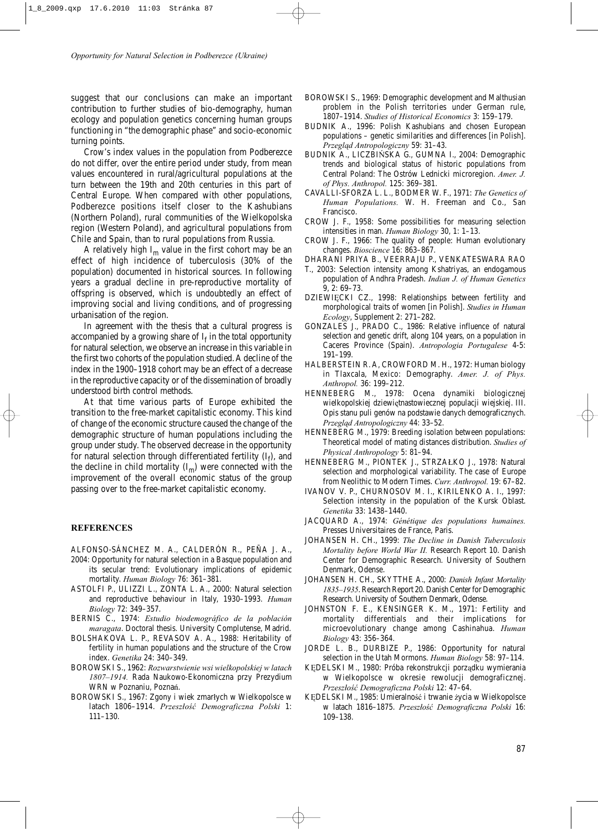suggest that our conclusions can make an important contribution to further studies of bio-demography, human ecology and population genetics concerning human groups functioning in "the demographic phase" and socio-economic turning points.

Crow's index values in the population from Podberezce do not differ, over the entire period under study, from mean values encountered in rural/agricultural populations at the turn between the 19th and 20th centuries in this part of Central Europe. When compared with other populations, Podberezce positions itself closer to the Kashubians (Northern Poland), rural communities of the Wielkopolska region (Western Poland), and agricultural populations from Chile and Spain, than to rural populations from Russia.

A relatively high  $I_m$  value in the first cohort may be an effect of high incidence of tuberculosis (30% of the population) documented in historical sources. In following years a gradual decline in pre-reproductive mortality of offspring is observed, which is undoubtedly an effect of improving social and living conditions, and of progressing urbanisation of the region.

In agreement with the thesis that a cultural progress is accompanied by a growing share of  $I_f$  in the total opportunity for natural selection, we observe an increase in this variable in the first two cohorts of the population studied. A decline of the index in the 1900–1918 cohort may be an effect of a decrease in the reproductive capacity or of the dissemination of broadly understood birth control methods.

At that time various parts of Europe exhibited the transition to the free-market capitalistic economy. This kind of change of the economic structure caused the change of the demographic structure of human populations including the group under study. The observed decrease in the opportunity for natural selection through differentiated fertility  $(I_f)$ , and the decline in child mortality  $(I_m)$  were connected with the improvement of the overall economic status of the group passing over to the free-market capitalistic economy.

#### **REFERENCES**

- ALFONSO-SÁNCHEZ M. A., CALDERÓN R., PEÑA J. A., 2004: Opportunity for natural selection in a Basque population and its secular trend: Evolutionary implications of epidemic
- mortality. *Human Biology* 76: 361–381. ASTOLFI P., ULIZZI L., ZONTA L. A., 2000: Natural selection and reproductive behaviour in Italy, 1930–1993. *Human Biology* 72: 349–357.
- BERNIS C., 1974: *Estudio biodemográfico de la población maragata*. Doctoral thesis. University Complutense, Madrid.
- BOLSHAKOVA L. P., REVASOV A. A., 1988: Heritability of fertility in human populations and the structure of the Crow index. *Genetika* 24: 340–349.
- BOROWSKI S., 1962: *Rozwarstwienie wsi wielkopolskiej w latach 1807–1914.* Rada Naukowo-Ekonomiczna przy Prezydium WRN w Poznaniu, Poznań.
- BOROWSKI S., 1967: Zgony i wiek zmarłych w Wielkopolsce w latach 1806–1914. *Przeszłość Demograficzna Polski* 1: 111–130.
- BOROWSKI S., 1969: Demographic development and Malthusian problem in the Polish territories under German rule, 1807–1914. *Studies of Historical Economics* 3: 159–179.
- BUDNIK A., 1996: Polish Kashubians and chosen European populations – genetic similarities and differences [in Polish]. *Przegląd Antropologiczny* 59: 31–43.
- BUDNIK A., LICZBIŃSKA G., GUMNA I., 2004: Demographic trends and biological status of historic populations from Central Poland: The Ostrów Lednicki microregion. *Amer. J. of Phys. Anthropol.* 125: 369–381.
- CAVALLI-SFORZA L. L., BODMER W. F., 1971: *The Genetics of Human Populations.* W. H. Freeman and Co., San Francisco.
- CROW J. F., 1958: Some possibilities for measuring selection intensities in man. *Human Biology* 30, 1: 1–13.
- CROW J. F., 1966: The quality of people: Human evolutionary changes. *Bioscience* 16: 863–867.
- DHARANI PRIYA B., VEERRAJU P., VENKATESWARA RAO
- T., 2003: Selection intensity among Kshatriyas, an endogamous population of Andhra Pradesh. *Indian J. of Human Genetics* 9, 2: 69–73.
- DZIEWIĘCKI CZ., 1998: Relationships between fertility and morphological traits of women [in Polish]. *Studies in Human Ecology*, Supplement 2: 271–282.
- GONZALES J., PRADO C., 1986: Relative influence of natural selection and genetic drift, along 104 years, on a population in Caceres Province (Spain). *Antropologia Portugalese* 4-5: 191–199.
- HALBERSTEIN R. A, CROWFORD M. H., 1972: Human biology in Tlaxcala, Mexico: Demography. *Amer. J. of Phys. Anthropol.* 36: 199–212.
- HENNEBERG M., 1978: Ocena dynamiki biologicznej wielkopolskiej dziewiętnastowiecznej populacji wiejskiej. III. Opis stanu puli genów na podstawie danych demograficznych. *Przegląd Antropologiczny* 44: 33–52.
- HENNEBERG M., 1979: Breeding isolation between populations: Theoretical model of mating distances distribution. *Studies of Physical Anthropology* 5: 81–94.
- HENNEBERG M., PIONTEK J., STRZAŁKO J., 1978: Natural selection and morphological variability. The case of Europe from Neolithic to Modern Times. *Curr. Anthropol.* 19: 67–82.
- IVANOV V. P., CHURNOSOV M. I., KIRILENKO A. I., 1997: Selection intensity in the population of the Kursk Oblast. *Genetika* 33: 1438–1440.
- JACQUARD A., 1974: *Génétique des populations humaines.* Presses Universitaires de France, Paris.
- JOHANSEN H. CH., 1999: *The Decline in Danish Tuberculosis Mortality before World War II.* Research Report 10. Danish Center for Demographic Research. University of Southern Denmark, Odense.
- JOHANSEN H. CH., SKYTTHE A., 2000: *Danish Infant Mortality 1835–1935*. Research Report 20. Danish Center for Demographic Research. University of Southern Denmark, Odense.
- JOHNSTON F. E., KENSINGER K. M., 1971: Fertility and mortality differentials and their implications for microevolutionary change among Cashinahua. *Human Biology* 43: 356–364.
- JORDE L. B., DURBIZE P., 1986: Opportunity for natural selection in the Utah Mormons. *Human Biology* 58: 97–114.
- KĘDELSKI M., 1980: Próba rekonstrukcji porządku wymierania w Wielkopolsce w okresie rewolucji demograficznej. *Przeszłość Demograficzna Polski* 12: 47–64.
- KĘDELSKI M., 1985: Umieralność i trwanie życia w Wielkopolsce w latach 1816–1875. *Przeszłość Demograficzna Polski* 16: 109–138.